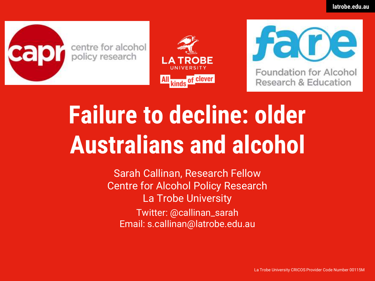





**Research & Education** 

#### **Failure to decline: older Australians and alcohol**

Sarah Callinan, Research Fellow Centre for Alcohol Policy Research La Trobe University Twitter: @callinan\_sarah Email: s.callinan@latrobe.edu.au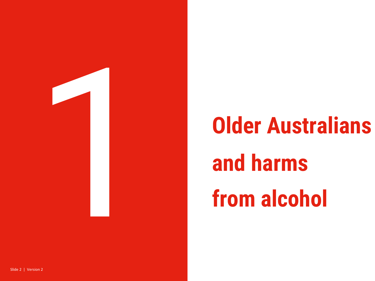

**Older Australians and harms from alcohol**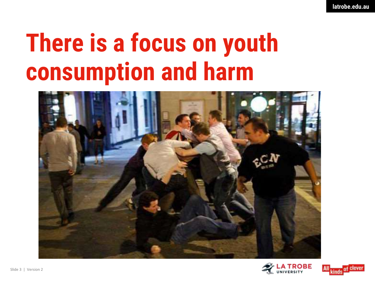#### **There is a focus on youth consumption and harm**





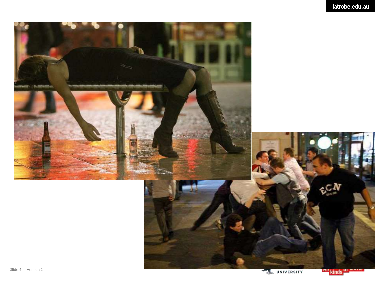

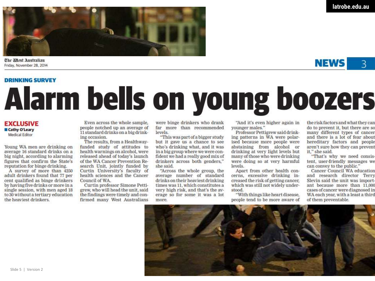

The Mest Australian Friday, November 28, 2014

#### **DRINKING SURVEY**

# **Alarm bells on young boozers**

#### **EXCLUSIVE E** Cathy O'Leary Medical Editor

Young WA men are drinking on average 16 standard drinks on a big night, according to alarming figures that confirm the State's reputation for binge drinking.

A survey of more than 4250 adult drinkers found that 77 per cent qualified as binge drinkers by having five drinks or more in a single session, with men aged 18 to 30 without a tertiary education the heaviest drinkers.

Even across the whole sample. people notched up an average of 11 standard drinks on a big drinking occasion.

The results, from a Healthwayfunded study of attitudes to health warnings on alcohol, were released ahead of today's launch of the WA Cancer Prevention Research Unit, jointly funded by Curtin University's faculty of health sciences and the Cancer Council of WA.

Curtin professor Simone Pettigrew, who will head the unit, said the findings were timely and confirmed many West Australians were binge drinkers who drank far more than recommended levels.

"This was part of a bigger study but it gave us a chance to see who's drinking what, and it was in a big group where we were confident we had a really good mix of drinkers across both genders," she said.

"Across the whole group, the average number of standard drinks on their heaviest drinking times was 11, which constitutes a very high risk, and that's the average so for some it was a lot more.

"And it's even higher again in vounger males."

Professor Pettigrew said drinking patterns in WA were polarised because more people were abstaining from alcohol or drinking at very light levels but many of those who were drinking were doing so at very harmful levels.

Apart from other health concerns, excessive drinking increased the risk of getting cancer. which was still not widely understood.

"With things like heart disease, people tend to be more aware of the risk factors and what they can do to prevent it, but there are so many different types of cancer and there is a lot of fear about hereditary factors and people aren't sure how they can prevent it," she said.

**NEWS** 

"That's why we need consistent, user-friendly messages we can convey to the public."

Cancer Council WA education and research director Terry Slevin said the unit was important because more than 11,000 cases of cancer were diagnosed in WA each year, with a least a third of them preventable.

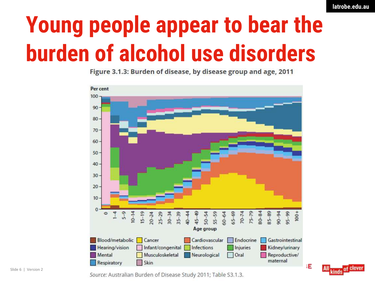Figure 3.1.3: Burden of disease, by disease group and age, 2011



Source: Australian Burden of Disease Study 2011; Table S3.1.3.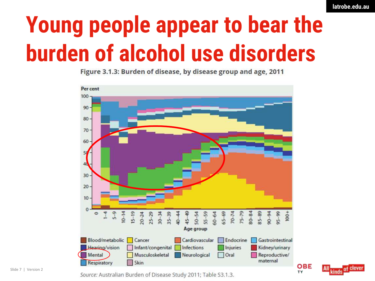Figure 3.1.3: Burden of disease, by disease group and age, 2011



Source: Australian Burden of Disease Study 2011; Table S3.1.3.

Slide 7 | Version 2



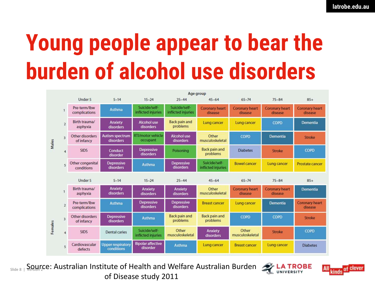

Slide 8 | Source: Australian Institute of Health and Welfare Australian Burden of Disease study 2011



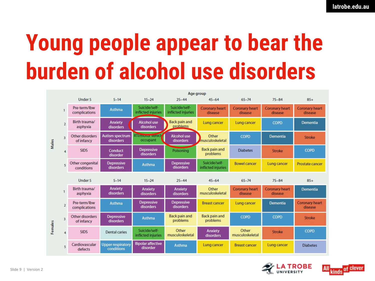



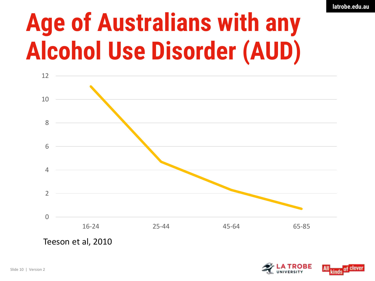#### **Age of Australians with any Alcohol Use Disorder (AUD)**



Teeson et al, 2010

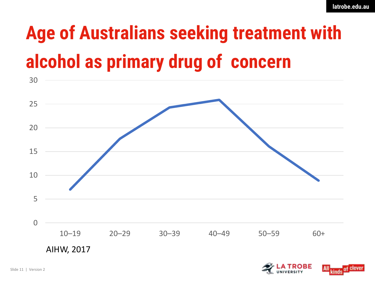#### **Age of Australians seeking treatment with alcohol as primary drug of concern**



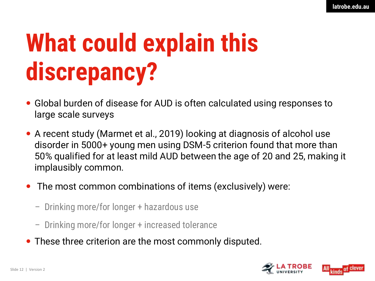## **What could explain this discrepancy?**

- Global burden of disease for AUD is often calculated using responses to large scale surveys
- A recent study (Marmet et al., 2019) looking at diagnosis of alcohol use disorder in 5000+ young men using DSM-5 criterion found that more than 50% qualified for at least mild AUD between the age of 20 and 25, making it implausibly common.
- The most common combinations of items (exclusively) were:
	- Drinking more/for longer + hazardous use
	- Drinking more/for longer + increased tolerance
- These three criterion are the most commonly disputed.

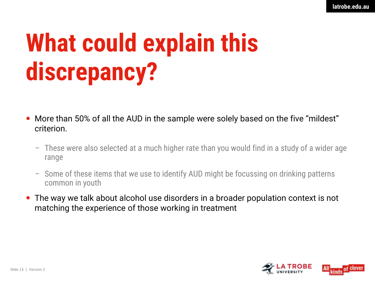## **What could explain this discrepancy?**

- More than 50% of all the AUD in the sample were solely based on the five "mildest" criterion.
	- These were also selected at a much higher rate than you would find in a study of a wider age range
	- Some of these items that we use to identify AUD might be focussing on drinking patterns common in youth
- The way we talk about alcohol use disorders in a broader population context is not matching the experience of those working in treatment

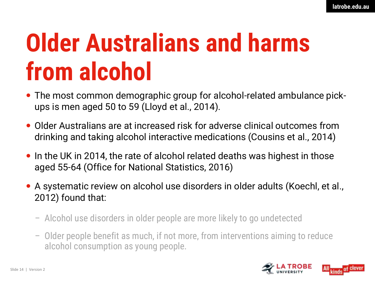#### **Older Australians and harms from alcohol**

- The most common demographic group for alcohol-related ambulance pickups is men aged 50 to 59 (Lloyd et al., 2014).
- Older Australians are at increased risk for adverse clinical outcomes from drinking and taking alcohol interactive medications (Cousins et al., 2014)
- In the UK in 2014, the rate of alcohol related deaths was highest in those aged 55-64 (Office for National Statistics, 2016)
- A systematic review on alcohol use disorders in older adults (Koechl, et al., 2012) found that:
	- Alcohol use disorders in older people are more likely to go undetected
	- Older people benefit as much, if not more, from interventions aiming to reduce alcohol consumption as young people.

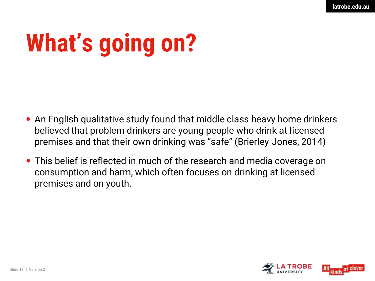# **What's going on?**

- An English qualitative study found that middle class heavy home drinkers believed that problem drinkers are young people who drink at licensed premises and that their own drinking was "safe" (Brierley-Jones, 2014)
- This belief is reflected in much of the research and media coverage on consumption and harm, which often focuses on drinking at licensed premises and on youth.

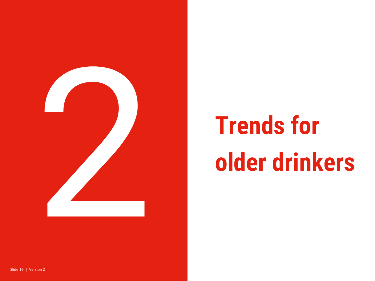

# **Trends for older drinkers**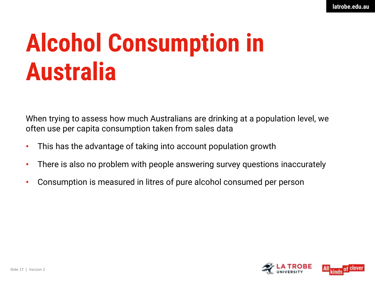#### **Alcohol Consumption in Australia**

When trying to assess how much Australians are drinking at a population level, we often use per capita consumption taken from sales data

- This has the advantage of taking into account population growth
- There is also no problem with people answering survey questions inaccurately
- Consumption is measured in litres of pure alcohol consumed per person

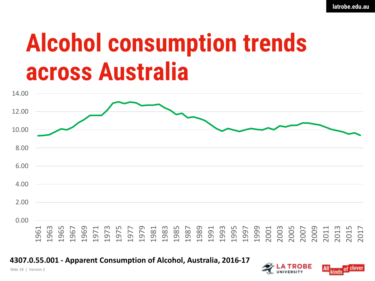#### **Alcohol consumption trends across Australia**



#### **4307.0.55.001 - Apparent Consumption of Alcohol, Australia, 2016-17**





Slide 18 | Version 2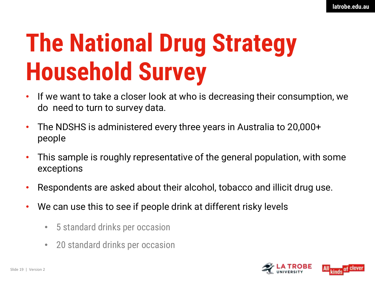#### **The National Drug Strategy Household Survey**

- If we want to take a closer look at who is decreasing their consumption, we do need to turn to survey data.
- The NDSHS is administered every three years in Australia to 20,000+ people
- This sample is roughly representative of the general population, with some exceptions
- Respondents are asked about their alcohol, tobacco and illicit drug use.
- We can use this to see if people drink at different risky levels
	- 5 standard drinks per occasion
	- 20 standard drinks per occasion

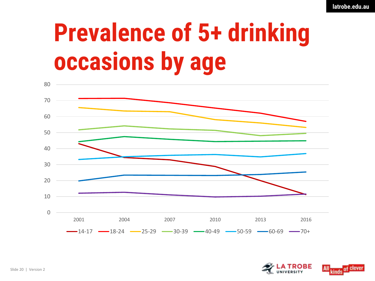

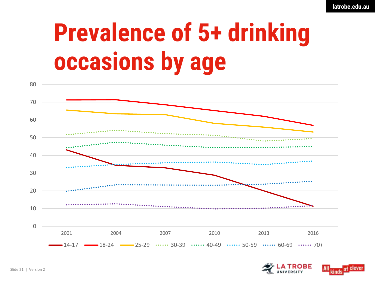

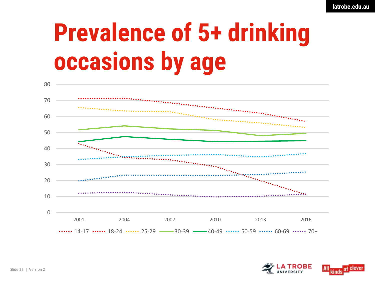

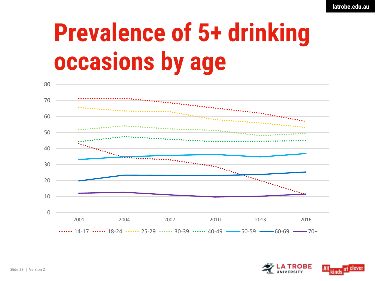

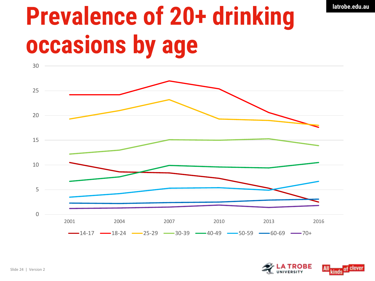

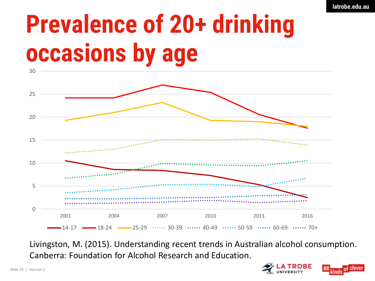

Livingston, M. (2015). Understanding recent trends in Australian alcohol consumption. Canberra: Foundation for Alcohol Research and Education.

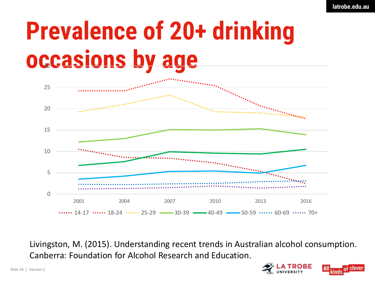

Livingston, M. (2015). Understanding recent trends in Australian alcohol consumption. Canberra: Foundation for Alcohol Research and Education.

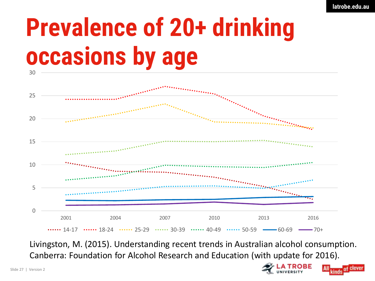

Livingston, M. (2015). Understanding recent trends in Australian alcohol consumption. Canberra: Foundation for Alcohol Research and Education (with update for 2016).



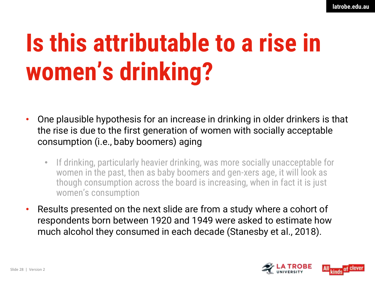#### **Is this attributable to a rise in women's drinking?**

- One plausible hypothesis for an increase in drinking in older drinkers is that the rise is due to the first generation of women with socially acceptable consumption (i.e., baby boomers) aging
	- If drinking, particularly heavier drinking, was more socially unacceptable for women in the past, then as baby boomers and gen-xers age, it will look as though consumption across the board is increasing, when in fact it is just women's consumption
- Results presented on the next slide are from a study where a cohort of respondents born between 1920 and 1949 were asked to estimate how much alcohol they consumed in each decade (Stanesby et al., 2018).

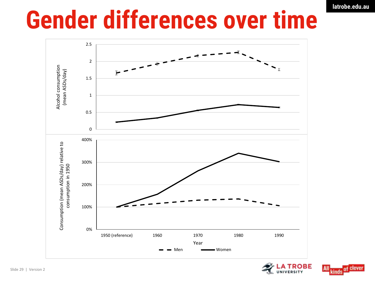#### **Gender differences over time**





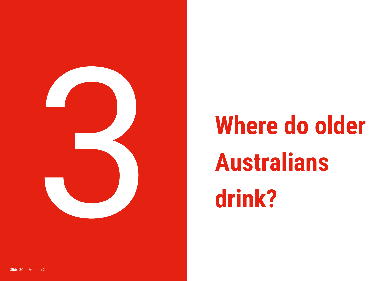

# **Where do older Australians drink?**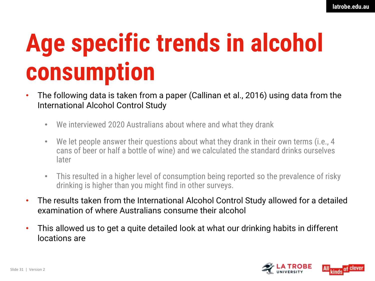#### **Age specific trends in alcohol consumption**

- The following data is taken from a paper (Callinan et al., 2016) using data from the International Alcohol Control Study
	- We interviewed 2020 Australians about where and what they drank
	- We let people answer their questions about what they drank in their own terms (i.e., 4 cans of beer or half a bottle of wine) and we calculated the standard drinks ourselves later
	- This resulted in a higher level of consumption being reported so the prevalence of risky drinking is higher than you might find in other surveys.
- The results taken from the International Alcohol Control Study allowed for a detailed examination of where Australians consume their alcohol
- This allowed us to get a quite detailed look at what our drinking habits in different locations are

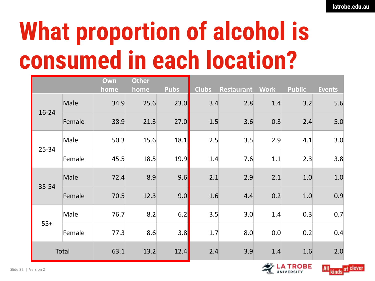#### **What proportion of alcohol is consumed in each location?**

|           |        | Own<br>home | <b>Other</b><br>home | <b>Pubs</b> | <b>Clubs</b> | <b>Restaurant</b> | <b>Work</b> | <b>Public</b> | <b>Events</b> |
|-----------|--------|-------------|----------------------|-------------|--------------|-------------------|-------------|---------------|---------------|
| $16 - 24$ | Male   | 34.9        | 25.6                 | 23.0        | 3.4          | 2.8               | 1.4         | 3.2           | 5.6           |
|           | Female | 38.9        | 21.3                 | 27.0        | 1.5          | 3.6               | 0.3         | 2.4           | 5.0           |
| 25-34     | Male   | 50.3        | 15.6                 | 18.1        | 2.5          | 3.5               | 2.9         | 4.1           | 3.0           |
|           | Female | 45.5        | 18.5                 | 19.9        | 1.4          | 7.6               | 1.1         | 2.3           | 3.8           |
| 35-54     | Male   | 72.4        | 8.9                  | 9.6         | 2.1          | 2.9               | 2.1         | 1.0           | 1.0           |
|           | Female | 70.5        | 12.3                 | 9.0         | 1.6          | 4.4               | 0.2         | 1.0           | 0.9           |
|           | Male   | 76.7        | 8.2                  | 6.2         | 3.5          | 3.0               | 1.4         | 0.3           | 0.7           |
| $55+$     | Female | 77.3        | 8.6                  | 3.8         | 1.7          | 8.0               | 0.0         | 0.2           | 0.4           |
|           | Total  | 63.1        | 13.2                 | 12.4        | 2.4          | 3.9               | 1.4         | 1.6           | 2.0           |



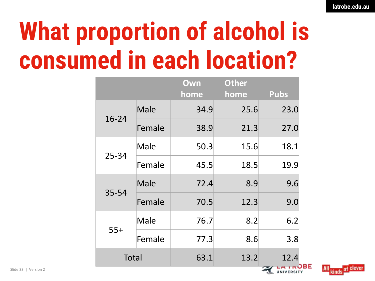#### **What proportion of alcohol is consumed in each location?**

|              |             | Own<br>home | <b>Other</b><br>home | <b>Pubs</b> |
|--------------|-------------|-------------|----------------------|-------------|
|              | <b>Male</b> | 34.9        | 25.6                 | 23.0        |
| 16-24        | Female      | 38.9        | 21.3                 | 27.0        |
|              | Male        | 50.3        | 15.6                 | 18.1        |
| $25 - 34$    | Female      | 45.5        | 18.5                 | 19.9        |
|              | Male        | 72.4        | 8.9                  | 9.6         |
| 35-54        | Female      | 70.5        | 12.3                 | 9.0         |
| $55+$        | Male        | 76.7        | 8.2                  | 6.2         |
|              | Female      | 77.3        | 8.6                  | 3.8         |
| <b>Total</b> |             | 63.1        | 13.2                 | 12.4        |
|              |             |             |                      | UNIVERSIT   |



BE

Slide 33 | Version 2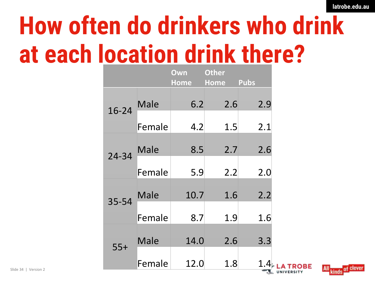### **How often do drinkers who drink at each location drink there?**

|           |             | Own         | <b>Other</b> |                |  |
|-----------|-------------|-------------|--------------|----------------|--|
|           |             | <b>Home</b> | <b>Home</b>  | <b>Pubs</b>    |  |
| $16 - 24$ | Male        | 6.2         | 2.6          | 2.9            |  |
|           | Female      | 4.2         | 1.5          | 2.1            |  |
| $24 - 34$ | Male        | 8.5         | 2.7          | 2.6            |  |
|           | Female      | 5.9         | 2.2          | 2.0            |  |
| 35-54     | <b>Male</b> | 10.7        | 1.6          | 2.2            |  |
|           | Female      | 8.7         | 1.9          | 1.6            |  |
| $55+$     | Male        | 14.0        | 2.6          | 3.3            |  |
|           | Female      | 12.0        | 1.8          | $1.4 \text{L}$ |  |



ROBE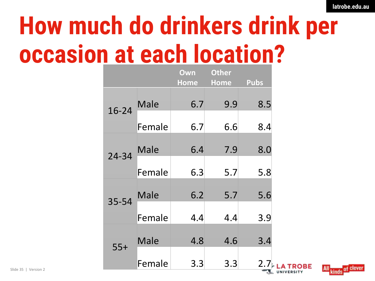**A TROBE** 

**UNIVERSITY** 

All kinds of clever

#### **How much do drinkers drink per occasion at each location?**

|                    |             | Own<br><b>Home</b> | <b>Other</b><br><b>Home</b> | <b>Pubs</b> |
|--------------------|-------------|--------------------|-----------------------------|-------------|
| $16 - 24$          | Male        | 6.7                | 9.9                         | 8.5         |
|                    |             |                    |                             |             |
| $24 - 34$<br>35-54 | Female      | 6.7                | 6.6                         | 8.4         |
|                    | Male        | 6.4                | 7.9                         | 8.0         |
|                    | Female      | 6.3                | 5.7                         | 5.8         |
|                    | <b>Male</b> | 6.2                | 5.7                         | 5.6         |
|                    | Female      | 4.4                | 4.4                         | 3.9         |
| $55+$              | <b>Male</b> | 4.8                | 4.6                         | 3.4         |
|                    | Female      | 3.3                | 3.3                         | 2.7L        |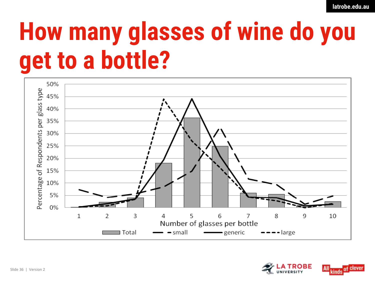#### **How many glasses of wine do you get to a bottle?**



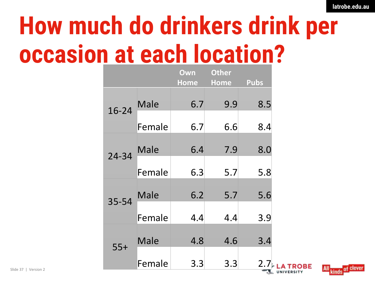**A TROBE** 

All kinds of clever

### **How much do drinkers drink per occasion at each location?**

|                    |             | Own<br><b>Home</b> | <b>Other</b><br><b>Home</b> | <b>Pubs</b> |
|--------------------|-------------|--------------------|-----------------------------|-------------|
|                    |             |                    |                             |             |
| 16-24              | Male        | 6.7                | 9.9                         | 8.5         |
|                    | Female      | 6.7                | 6.6                         | 8.4         |
| $24 - 34$<br>35-54 | Male        | 6.4                | 7.9                         | 8.0         |
|                    | Female      | 6.3                | 5.7                         | 5.8         |
|                    | <b>Male</b> | 6.2                | 5.7                         | 5.6         |
|                    | Female      | 4.4                | 4.4                         | 3.9         |
| $55+$              | Male        | 4.8                | 4.6                         | 3.4         |
|                    | Female      | 3.3                | 3.3                         | $2.7\n$     |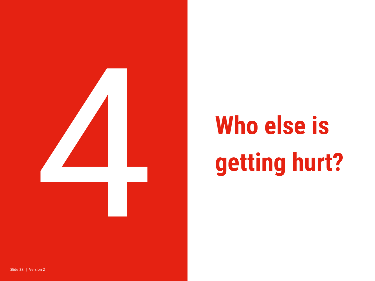

# **Who else is getting hurt?**

Slide 38 | Version 2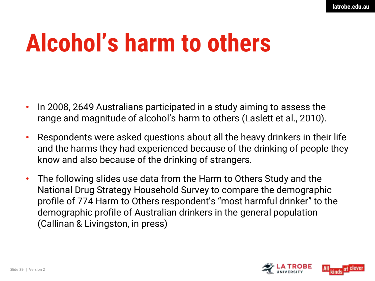#### **Alcohol's harm to others**

- In 2008, 2649 Australians participated in a study aiming to assess the range and magnitude of alcohol's harm to others (Laslett et al., 2010).
- Respondents were asked questions about all the heavy drinkers in their life and the harms they had experienced because of the drinking of people they know and also because of the drinking of strangers.
- The following slides use data from the Harm to Others Study and the National Drug Strategy Household Survey to compare the demographic profile of 774 Harm to Others respondent's "most harmful drinker" to the demographic profile of Australian drinkers in the general population (Callinan & Livingston, in press)

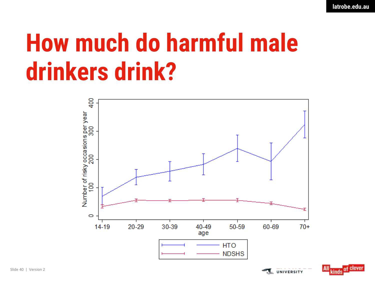#### **How much do harmful male drinkers drink?**



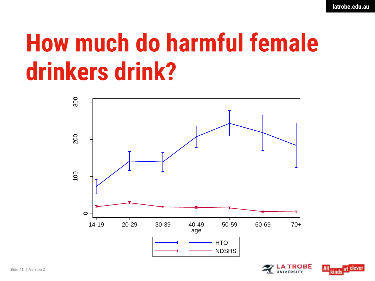#### **How much do harmful female drinkers drink?**



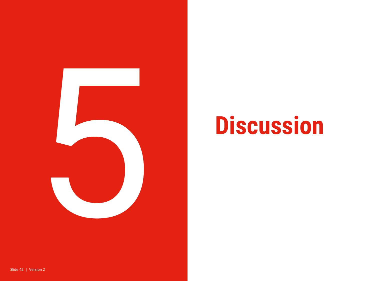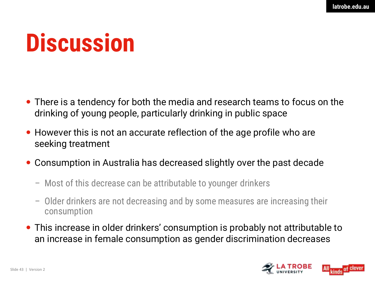- There is a tendency for both the media and research teams to focus on the drinking of young people, particularly drinking in public space
- However this is not an accurate reflection of the age profile who are seeking treatment
- Consumption in Australia has decreased slightly over the past decade
	- Most of this decrease can be attributable to younger drinkers
	- Older drinkers are not decreasing and by some measures are increasing their consumption
- This increase in older drinkers' consumption is probably not attributable to an increase in female consumption as gender discrimination decreases

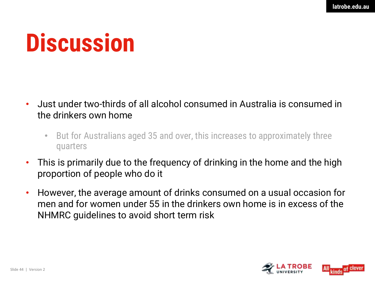- Just under two-thirds of all alcohol consumed in Australia is consumed in the drinkers own home
	- But for Australians aged 35 and over, this increases to approximately three quarters
- This is primarily due to the frequency of drinking in the home and the high proportion of people who do it
- However, the average amount of drinks consumed on a usual occasion for men and for women under 55 in the drinkers own home is in excess of the NHMRC guidelines to avoid short term risk

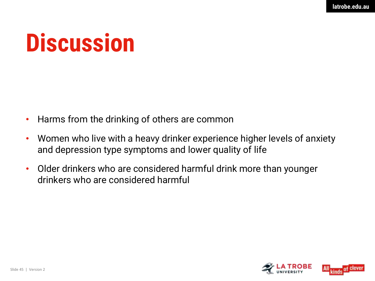- Harms from the drinking of others are common
- Women who live with a heavy drinker experience higher levels of anxiety and depression type symptoms and lower quality of life
- Older drinkers who are considered harmful drink more than younger drinkers who are considered harmful

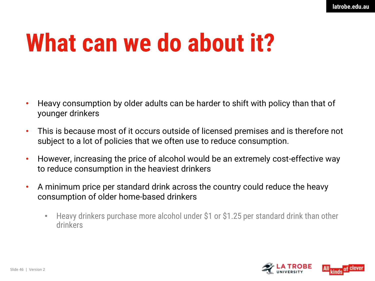#### **What can we do about it?**

- Heavy consumption by older adults can be harder to shift with policy than that of younger drinkers
- This is because most of it occurs outside of licensed premises and is therefore not subject to a lot of policies that we often use to reduce consumption.
- However, increasing the price of alcohol would be an extremely cost-effective way to reduce consumption in the heaviest drinkers
- A minimum price per standard drink across the country could reduce the heavy consumption of older home-based drinkers
	- Heavy drinkers purchase more alcohol under \$1 or \$1.25 per standard drink than other drinkers

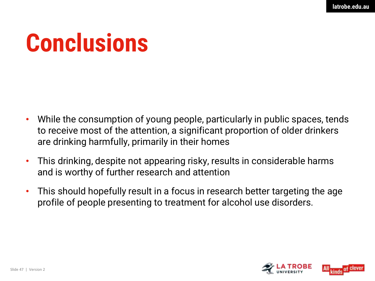#### **Conclusions**

- While the consumption of young people, particularly in public spaces, tends to receive most of the attention, a significant proportion of older drinkers are drinking harmfully, primarily in their homes
- This drinking, despite not appearing risky, results in considerable harms and is worthy of further research and attention
- This should hopefully result in a focus in research better targeting the age profile of people presenting to treatment for alcohol use disorders.

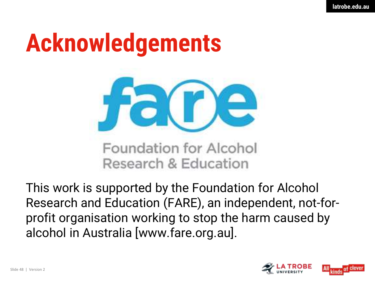#### **Acknowledgements**



This work is supported by the Foundation for Alcohol Research and Education (FARE), an independent, not-forprofit organisation working to stop the harm caused by alcohol in Australia [www.fare.org.au].

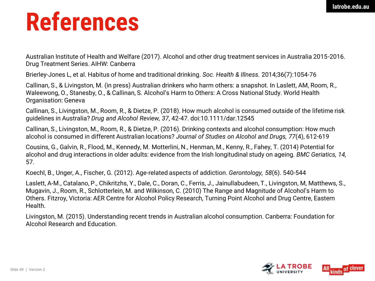#### **References**

Australian Institute of Health and Welfare (2017). Alcohol and other drug treatment services in Australia 2015-2016. Drug Treatment Series. AIHW: Canberra

Brierley-Jones L, et al. Habitus of home and traditional drinking. *Soc. Health & Illness.* 2014;36(7):1054-76

Callinan, S., & Livingston, M. (in press) Australian drinkers who harm others: a snapshot. In Laslett, AM, Room, R., Waleewong, O., Stanesby, O., & Callinan, S. Alcohol's Harm to Others: A Cross National Study. World Health Organisation: Geneva

Callinan, S., Livingston, M., Room, R., & Dietze, P. (2018). How much alcohol is consumed outside of the lifetime risk guidelines in Australia? *Drug and Alcohol Review, 37*, 42-47. doi:10.1111/dar.12545

Callinan, S., Livingston, M., Room, R., & Dietze, P. (2016). Drinking contexts and alcohol consumption: How much alcohol is consumed in different Australian locations? *Journal of Studies on Alcohol and Drugs, 77*(4), 612-619

Cousins, G., Galvin, R., Flood, M., Kennedy, M. Motterlini, N., Henman, M., Kenny, R., Fahey, T. (2014) Potential for alcohol and drug interactions in older adults: evidence from the Irish longitudinal study on ageing. *BMC Geriatics, 14,*  57.

Koechl, B., Unger, A., Fischer, G. (2012). Age-related aspects of addiction. *Gerontology, 58*(6). 540-544

Laslett, A-M., Catalano, P., Chikritzhs, Y., Dale, C., Doran, C., Ferris, J., Jainullabudeen, T., Livingston, M, Matthews, S., Mugavin, J., Room, R., Schlotterlein, M. and Wilkinson, C. (2010) The Range and Magnitude of Alcohol's Harm to Others. Fitzroy, Victoria: AER Centre for Alcohol Policy Research, Turning Point Alcohol and Drug Centre, Eastern Health.

Livingston, M. (2015). Understanding recent trends in Australian alcohol consumption. Canberra: Foundation for Alcohol Research and Education.

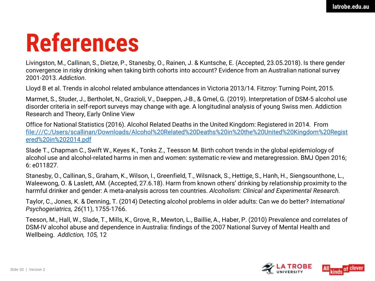#### **References**

Livingston, M., Callinan, S., Dietze, P., Stanesby, O., Rainen, J. & Kuntsche, E. (Accepted, 23.05.2018). Is there gender convergence in risky drinking when taking birth cohorts into account? Evidence from an Australian national survey 2001-2013. *Addiction*.

Lloyd B et al. Trends in alcohol related ambulance attendances in Victoria 2013/14. Fitzroy: Turning Point, 2015.

Marmet, S., Studer, J., Bertholet, N., Grazioli, V., Daeppen, J-B., & Gmel, G. (2019). Interpretation of DSM-5 alcohol use disorder criteria in self-report surveys may change with age. A longitudinal analysis of young Swiss men. Addiction Research and Theory, Early Online View

Office for National Statistics (2016). Alcohol Related Deaths in the United Kingdom: Registered in 2014. From [file:///C:/Users/scallinan/Downloads/Alcohol%20Related%20Deaths%20in%20the%20United%20Kingdom%20Regist](http://C:/Users/scallinan/Downloads/Alcohol%20Related%20Deaths%20in%20the%20United%20Kingdom%20Registered%20in%202014.pdf) ered%20in%202014.pdf

Slade T., Chapman C., Swift W., Keyes K., Tonks Z., Teesson M. Birth cohort trends in the global epidemiology of alcohol use and alcohol-related harms in men and women: systematic re-view and metaregression. BMJ Open 2016; 6: e011827.

Stanesby, O., Callinan, S., Graham, K., Wilson, I., Greenfield, T., Wilsnack, S., Hettige, S., Hanh, H., Siengsounthone, L., Waleewong, O. & Laslett, AM. (Accepted, 27.6.18). Harm from known others' drinking by relationship proximity to the harmful drinker and gender: A meta-analysis across ten countries. *Alcoholism: Clinical and Experimental Research.*

Taylor, C., Jones, K. & Denning, T. (2014) Detecting alcohol problems in older adults: Can we do better? *International Psychogeriatrics, 26*(11), 1755-1766.

Teeson, M., Hall, W., Slade, T., Mills, K., Grove, R., Mewton, L., Baillie, A., Haber, P. (2010) Prevalence and correlates of DSM‐IV alcohol abuse and dependence in Australia: findings of the 2007 National Survey of Mental Health and Wellbeing. *Addiction, 105,* 12